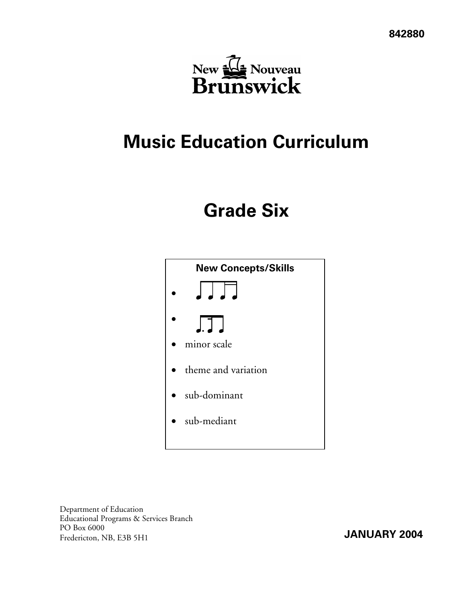

# **Music Education Curriculum**

# **Grade Six**



Department of Education Educational Programs & Services Branch PO Box 6000 FO BOX 6000<br>Fredericton, NB, E3B 5H1 **JANUARY 2004**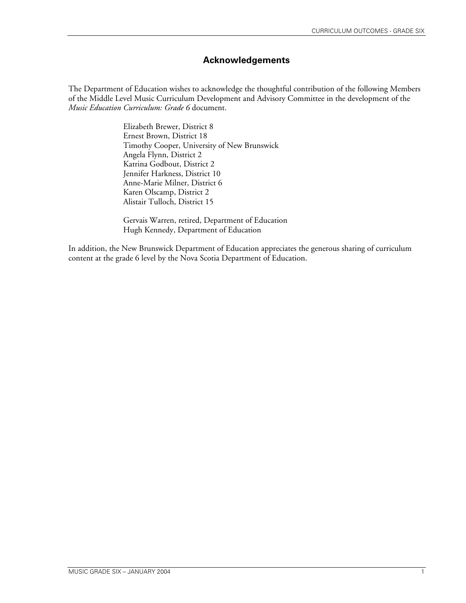# **Acknowledgements**

The Department of Education wishes to acknowledge the thoughtful contribution of the following Members of the Middle Level Music Curriculum Development and Advisory Committee in the development of the *Music Education Curriculum: Grade 6* document.

> Elizabeth Brewer, District 8 Ernest Brown, District 18 Timothy Cooper, University of New Brunswick Angela Flynn, District 2 Katrina Godbout, District 2 Jennifer Harkness, District 10 Anne-Marie Milner, District 6 Karen Olscamp, District 2 Alistair Tulloch, District 15

Gervais Warren, retired, Department of Education Hugh Kennedy, Department of Education

In addition, the New Brunswick Department of Education appreciates the generous sharing of curriculum content at the grade 6 level by the Nova Scotia Department of Education.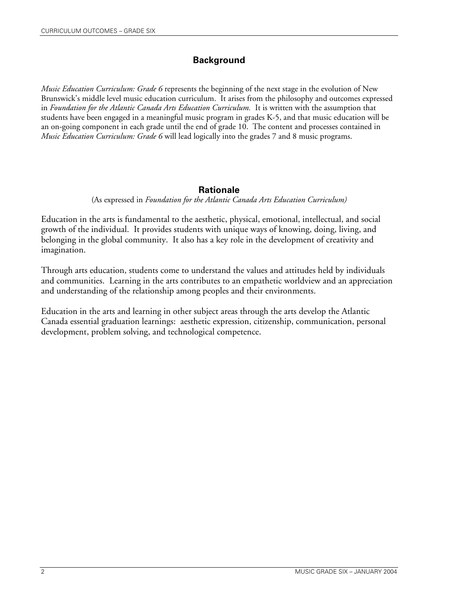## **Background**

*Music Education Curriculum: Grade 6* represents the beginning of the next stage in the evolution of New Brunswick's middle level music education curriculum. It arises from the philosophy and outcomes expressed in *Foundation for the Atlantic Canada Arts Education Curriculum.* It is written with the assumption that students have been engaged in a meaningful music program in grades K-5, and that music education will be an on-going component in each grade until the end of grade 10. The content and processes contained in *Music Education Curriculum: Grade 6* will lead logically into the grades 7 and 8 music programs.

## **Rationale**

(As expressed in *Foundation for the Atlantic Canada Arts Education Curriculum)* 

Education in the arts is fundamental to the aesthetic, physical, emotional, intellectual, and social growth of the individual. It provides students with unique ways of knowing, doing, living, and belonging in the global community. It also has a key role in the development of creativity and imagination.

Through arts education, students come to understand the values and attitudes held by individuals and communities. Learning in the arts contributes to an empathetic worldview and an appreciation and understanding of the relationship among peoples and their environments.

Education in the arts and learning in other subject areas through the arts develop the Atlantic Canada essential graduation learnings: aesthetic expression, citizenship, communication, personal development, problem solving, and technological competence.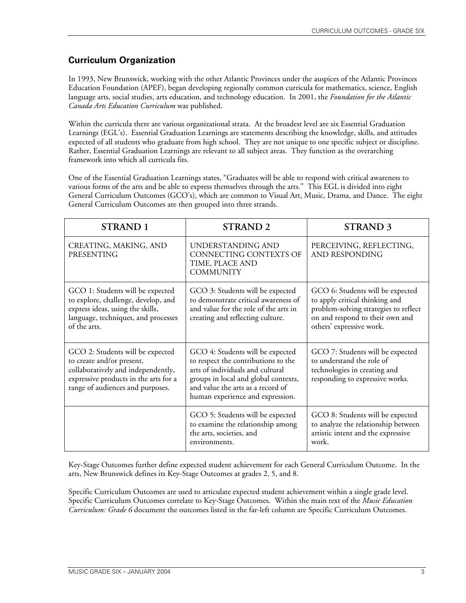# **Curriculum Organization**

In 1993, New Brunswick, working with the other Atlantic Provinces under the auspices of the Atlantic Provinces Education Foundation (APEF), began developing regionally common curricula for mathematics, science, English language arts, social studies, arts education, and technology education. In 2001, the *Foundation for the Atlantic Canada Arts Education Curriculum* was published.

Within the curricula there are various organizational strata. At the broadest level are six Essential Graduation Learnings (EGL's). Essential Graduation Learnings are statements describing the knowledge, skills, and attitudes expected of all students who graduate from high school. They are not unique to one specific subject or discipline. Rather, Essential Graduation Learnings are relevant to all subject areas. They function as the overarching framework into which all curricula fits.

One of the Essential Graduation Learnings states, "Graduates will be able to respond with critical awareness to various forms of the arts and be able to express themselves through the arts." This EGL is divided into eight General Curriculum Outcomes (GCO's), which are common to Visual Art, Music, Drama, and Dance. The eight General Curriculum Outcomes are then grouped into three strands.

| <b>STRAND 1</b>                                                                                                                                                                  | <b>STRAND 2</b>                                                                                                                                                                                                              | <b>STRAND 3</b>                                                                                                                                                            |
|----------------------------------------------------------------------------------------------------------------------------------------------------------------------------------|------------------------------------------------------------------------------------------------------------------------------------------------------------------------------------------------------------------------------|----------------------------------------------------------------------------------------------------------------------------------------------------------------------------|
| CREATING, MAKING, AND<br>PRESENTING                                                                                                                                              | UNDERSTANDING AND<br>CONNECTING CONTEXTS OF<br>TIME, PLACE AND<br><b>COMMUNITY</b>                                                                                                                                           | PERCEIVING, REFLECTING,<br>AND RESPONDING                                                                                                                                  |
| GCO 1: Students will be expected<br>to explore, challenge, develop, and<br>express ideas, using the skills,<br>language, techniques, and processes<br>of the arts.               | GCO 3: Students will be expected<br>to demonstrate critical awareness of<br>and value for the role of the arts in<br>creating and reflecting culture.                                                                        | GCO 6: Students will be expected<br>to apply critical thinking and<br>problem-solving strategies to reflect<br>on and respond to their own and<br>others' expressive work. |
| GCO 2: Students will be expected<br>to create and/or present,<br>collaboratively and independently,<br>expressive products in the arts for a<br>range of audiences and purposes. | GCO 4: Students will be expected<br>to respect the contributions to the<br>arts of individuals and cultural<br>groups in local and global contexts,<br>and value the arts as a record of<br>human experience and expression. | GCO 7: Students will be expected<br>to understand the role of<br>technologies in creating and<br>responding to expressive works.                                           |
|                                                                                                                                                                                  | GCO 5: Students will be expected<br>to examine the relationship among<br>the arts, societies, and<br>environments.                                                                                                           | GCO 8: Students will be expected<br>to analyze the relationship between<br>artistic intent and the expressive<br>work.                                                     |

Key-Stage Outcomes further define expected student achievement for each General Curriculum Outcome. In the arts, New Brunswick defines its Key-Stage Outcomes at grades 2, 5, and 8.

Specific Curriculum Outcomes are used to articulate expected student achievement within a single grade level. Specific Curriculum Outcomes correlate to Key-Stage Outcomes. Within the main text of the *Music Education Curriculum: Grade 6* document the outcomes listed in the far-left column are Specific Curriculum Outcomes.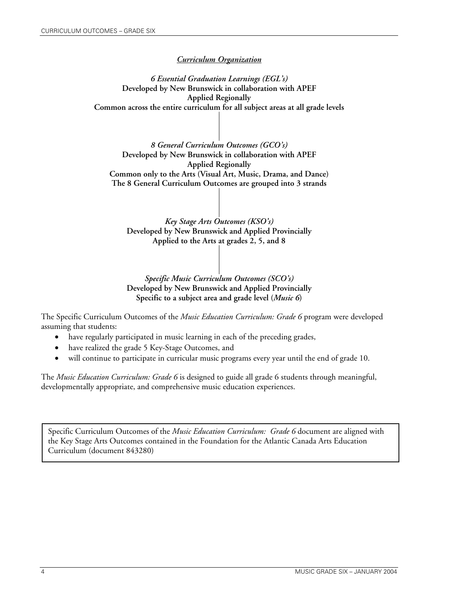### *Curriculum Organization*

*6 Essential Graduation Learnings (EGL's)* **Developed by New Brunswick in collaboration with APEF Applied Regionally Common across the entire curriculum for all subject areas at all grade levels** 

*8 General Curriculum Outcomes (GCO's)*  **Developed by New Brunswick in collaboration with APEF Applied Regionally Common only to the Arts (Visual Art, Music, Drama, and Dance) The 8 General Curriculum Outcomes are grouped into 3 strands** 

*Key Stage Arts Outcomes (KSO's)* **Developed by New Brunswick and Applied Provincially Applied to the Arts at grades 2, 5, and 8** 

*Specific Music Curriculum Outcomes (SCO's)* **Developed by New Brunswick and Applied Provincially Specific to a subject area and grade level (***Music 6***)** 

The Specific Curriculum Outcomes of the *Music Education Curriculum: Grade 6* program were developed assuming that students:

- have regularly participated in music learning in each of the preceding grades,
- have realized the grade 5 Key-Stage Outcomes, and
- will continue to participate in curricular music programs every year until the end of grade 10.

The *Music Education Curriculum: Grade 6* is designed to guide all grade 6 students through meaningful, developmentally appropriate, and comprehensive music education experiences.

Specific Curriculum Outcomes of the *Music Education Curriculum: Grade 6* document are aligned with the Key Stage Arts Outcomes contained in the Foundation for the Atlantic Canada Arts Education Curriculum (document 843280)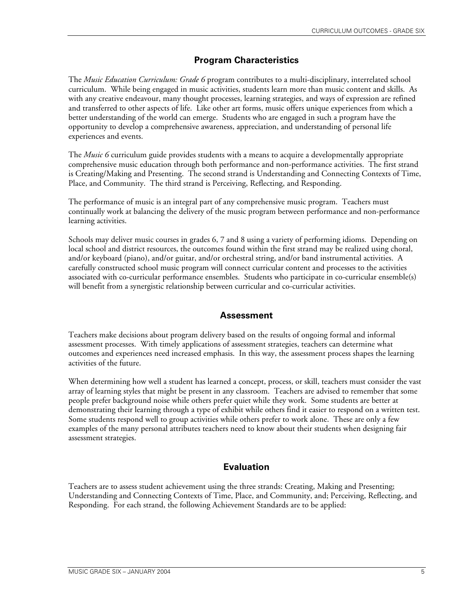# **Program Characteristics**

The *Music Education Curriculum: Grade 6* program contributes to a multi-disciplinary, interrelated school curriculum. While being engaged in music activities, students learn more than music content and skills. As with any creative endeavour, many thought processes, learning strategies, and ways of expression are refined and transferred to other aspects of life. Like other art forms, music offers unique experiences from which a better understanding of the world can emerge. Students who are engaged in such a program have the opportunity to develop a comprehensive awareness, appreciation, and understanding of personal life experiences and events.

The *Music 6* curriculum guide provides students with a means to acquire a developmentally appropriate comprehensive music education through both performance and non-performance activities. The first strand is Creating/Making and Presenting. The second strand is Understanding and Connecting Contexts of Time, Place, and Community. The third strand is Perceiving, Reflecting, and Responding.

The performance of music is an integral part of any comprehensive music program. Teachers must continually work at balancing the delivery of the music program between performance and non-performance learning activities.

Schools may deliver music courses in grades 6, 7 and 8 using a variety of performing idioms. Depending on local school and district resources, the outcomes found within the first strand may be realized using choral, and/or keyboard (piano), and/or guitar, and/or orchestral string, and/or band instrumental activities. A carefully constructed school music program will connect curricular content and processes to the activities associated with co-curricular performance ensembles. Students who participate in co-curricular ensemble(s) will benefit from a synergistic relationship between curricular and co-curricular activities.

## **Assessment**

Teachers make decisions about program delivery based on the results of ongoing formal and informal assessment processes. With timely applications of assessment strategies, teachers can determine what outcomes and experiences need increased emphasis. In this way, the assessment process shapes the learning activities of the future.

When determining how well a student has learned a concept, process, or skill, teachers must consider the vast array of learning styles that might be present in any classroom. Teachers are advised to remember that some people prefer background noise while others prefer quiet while they work. Some students are better at demonstrating their learning through a type of exhibit while others find it easier to respond on a written test. Some students respond well to group activities while others prefer to work alone. These are only a few examples of the many personal attributes teachers need to know about their students when designing fair assessment strategies.

# **Evaluation**

Teachers are to assess student achievement using the three strands: Creating, Making and Presenting; Understanding and Connecting Contexts of Time, Place, and Community, and; Perceiving, Reflecting, and Responding. For each strand, the following Achievement Standards are to be applied: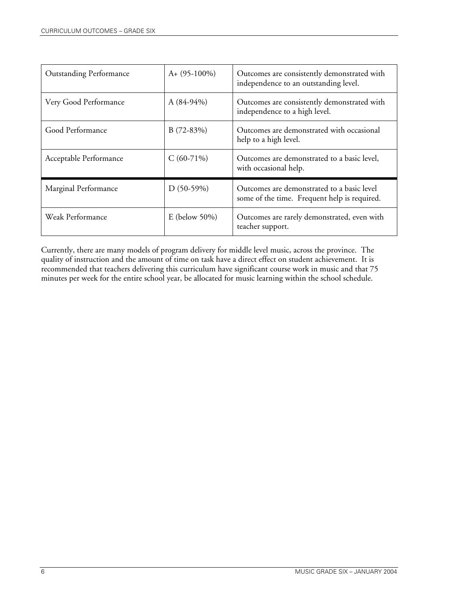| <b>Outstanding Performance</b> | $A+ (95-100\%)$   | Outcomes are consistently demonstrated with<br>independence to an outstanding level.       |
|--------------------------------|-------------------|--------------------------------------------------------------------------------------------|
| Very Good Performance          | A $(84-94\%)$     | Outcomes are consistently demonstrated with<br>independence to a high level.               |
| Good Performance               | $B(72-83%)$       | Outcomes are demonstrated with occasional<br>help to a high level.                         |
| Acceptable Performance         | $C(60-71%)$       | Outcomes are demonstrated to a basic level,<br>with occasional help.                       |
| Marginal Performance           | $D(50-59%)$       | Outcomes are demonstrated to a basic level<br>some of the time. Frequent help is required. |
| Weak Performance               | E (below $50\%$ ) | Outcomes are rarely demonstrated, even with<br>teacher support.                            |

Currently, there are many models of program delivery for middle level music, across the province. The quality of instruction and the amount of time on task have a direct effect on student achievement. It is recommended that teachers delivering this curriculum have significant course work in music and that 75 minutes per week for the entire school year, be allocated for music learning within the school schedule.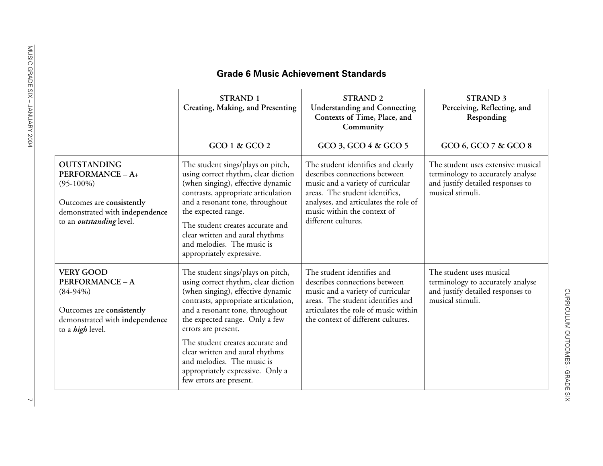|                                                                                                                                                          | <b>STRAND 1</b><br>Creating, Making, and Presenting                                                                                                                                                                                                                                                                                                                                                                   | <b>STRAND 2</b><br><b>Understanding and Connecting</b><br>Contexts of Time, Place, and<br>Community                                                                                                                                       | <b>STRAND 3</b><br>Perceiving, Reflecting, and<br>Responding                                                                     |
|----------------------------------------------------------------------------------------------------------------------------------------------------------|-----------------------------------------------------------------------------------------------------------------------------------------------------------------------------------------------------------------------------------------------------------------------------------------------------------------------------------------------------------------------------------------------------------------------|-------------------------------------------------------------------------------------------------------------------------------------------------------------------------------------------------------------------------------------------|----------------------------------------------------------------------------------------------------------------------------------|
|                                                                                                                                                          | GCO 1 & GCO 2                                                                                                                                                                                                                                                                                                                                                                                                         | GCO 3, GCO 4 & GCO 5                                                                                                                                                                                                                      | GCO 6, GCO 7 & GCO 8                                                                                                             |
| <b>OUTSTANDING</b><br>PERFORMANCE - A+<br>$(95-100\%)$<br>Outcomes are consistently<br>demonstrated with independence<br>to an <i>outstanding</i> level. | The student sings/plays on pitch,<br>using correct rhythm, clear diction<br>(when singing), effective dynamic<br>contrasts, appropriate articulation<br>and a resonant tone, throughout<br>the expected range.<br>The student creates accurate and<br>clear written and aural rhythms<br>and melodies. The music is<br>appropriately expressive.                                                                      | The student identifies and clearly<br>describes connections between<br>music and a variety of curricular<br>areas. The student identifies,<br>analyses, and articulates the role of<br>music within the context of<br>different cultures. | The student uses extensive musical<br>terminology to accurately analyse<br>and justify detailed responses to<br>musical stimuli. |
| <b>VERY GOOD</b><br>PERFORMANCE-A<br>$(84-94%)$<br>Outcomes are consistently<br>demonstrated with independence<br>to a <i>high</i> level.                | The student sings/plays on pitch,<br>using correct rhythm, clear diction<br>(when singing), effective dynamic<br>contrasts, appropriate articulation,<br>and a resonant tone, throughout<br>the expected range. Only a few<br>errors are present.<br>The student creates accurate and<br>clear written and aural rhythms<br>and melodies. The music is<br>appropriately expressive. Only a<br>few errors are present. | The student identifies and<br>describes connections between<br>music and a variety of curricular<br>areas. The student identifies and<br>articulates the role of music within<br>the context of different cultures.                       | The student uses musical<br>terminology to accurately analyse<br>and justify detailed responses to<br>musical stimuli.           |

## **Grade 6 Music Achievement Standards**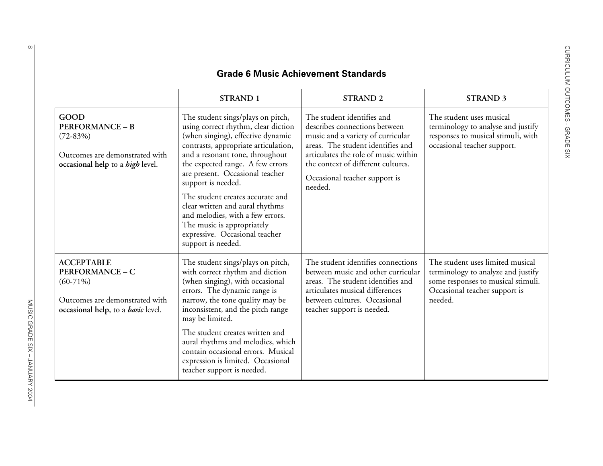| <b>Grade 6 Music Achievement Standards</b>                                                                                                |                                                                                                                                                                                                                                                                                                                                                                                                                                                                                        |                                                                                                                                                                                                                                                                 |                                                                                                                                                          |
|-------------------------------------------------------------------------------------------------------------------------------------------|----------------------------------------------------------------------------------------------------------------------------------------------------------------------------------------------------------------------------------------------------------------------------------------------------------------------------------------------------------------------------------------------------------------------------------------------------------------------------------------|-----------------------------------------------------------------------------------------------------------------------------------------------------------------------------------------------------------------------------------------------------------------|----------------------------------------------------------------------------------------------------------------------------------------------------------|
|                                                                                                                                           | <b>STRAND 1</b>                                                                                                                                                                                                                                                                                                                                                                                                                                                                        | <b>STRAND 2</b>                                                                                                                                                                                                                                                 | <b>STRAND 3</b>                                                                                                                                          |
| <b>GOOD</b><br><b>PERFORMANCE - B</b><br>$(72 - 83%)$<br>Outcomes are demonstrated with<br>occasional help to a <i>high</i> level.        | The student sings/plays on pitch,<br>using correct rhythm, clear diction<br>(when singing), effective dynamic<br>contrasts, appropriate articulation,<br>and a resonant tone, throughout<br>the expected range. A few errors<br>are present. Occasional teacher<br>support is needed.<br>The student creates accurate and<br>clear written and aural rhythms<br>and melodies, with a few errors.<br>The music is appropriately<br>expressive. Occasional teacher<br>support is needed. | The student identifies and<br>describes connections between<br>music and a variety of curricular<br>areas. The student identifies and<br>articulates the role of music within<br>the context of different cultures.<br>Occasional teacher support is<br>needed. | The student uses musical<br>terminology to analyse and justify<br>responses to musical stimuli, with<br>occasional teacher support.                      |
| <b>ACCEPTABLE</b><br><b>PERFORMANCE - C</b><br>$(60-71\%)$<br>Outcomes are demonstrated with<br>occasional help, to a <i>basic</i> level. | The student sings/plays on pitch,<br>with correct rhythm and diction<br>(when singing), with occasional<br>errors. The dynamic range is<br>narrow, the tone quality may be<br>inconsistent, and the pitch range<br>may be limited.<br>The student creates written and<br>aural rhythms and melodies, which<br>contain occasional errors. Musical<br>expression is limited. Occasional<br>teacher support is needed.                                                                    | The student identifies connections<br>between music and other curricular<br>areas. The student identifies and<br>articulates musical differences<br>between cultures. Occasional<br>teacher support is needed.                                                  | The student uses limited musical<br>terminology to analyze and justify<br>some responses to musical stimuli.<br>Occasional teacher support is<br>needed. |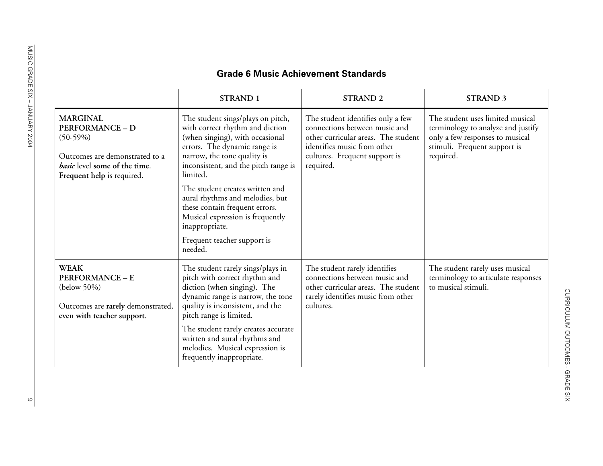## **Grade 6 Music Achievement Standards**

|                                                                                                                                                                 | <b>STRAND 1</b>                                                                                                                                                                                                                                                                                                                                                                                                                    | <b>STRAND 2</b>                                                                                                                                                                        | <b>STRAND 3</b>                                                                                                                                        |
|-----------------------------------------------------------------------------------------------------------------------------------------------------------------|------------------------------------------------------------------------------------------------------------------------------------------------------------------------------------------------------------------------------------------------------------------------------------------------------------------------------------------------------------------------------------------------------------------------------------|----------------------------------------------------------------------------------------------------------------------------------------------------------------------------------------|--------------------------------------------------------------------------------------------------------------------------------------------------------|
| <b>MARGINAL</b><br><b>PERFORMANCE - D</b><br>$(50-59%)$<br>Outcomes are demonstrated to a<br><i>basic</i> level some of the time.<br>Frequent help is required. | The student sings/plays on pitch,<br>with correct rhythm and diction<br>(when singing), with occasional<br>errors. The dynamic range is<br>narrow, the tone quality is<br>inconsistent, and the pitch range is<br>limited.<br>The student creates written and<br>aural rhythms and melodies, but<br>these contain frequent errors.<br>Musical expression is frequently<br>inappropriate.<br>Frequent teacher support is<br>needed. | The student identifies only a few<br>connections between music and<br>other curricular areas. The student<br>identifies music from other<br>cultures. Frequent support is<br>required. | The student uses limited musical<br>terminology to analyze and justify<br>only a few responses to musical<br>stimuli. Frequent support is<br>required. |
| <b>WEAK</b><br><b>PERFORMANCE - E</b><br>(below 50%)<br>Outcomes are rarely demonstrated,<br>even with teacher support.                                         | The student rarely sings/plays in<br>pitch with correct rhythm and<br>diction (when singing). The<br>dynamic range is narrow, the tone<br>quality is inconsistent, and the<br>pitch range is limited.<br>The student rarely creates accurate<br>written and aural rhythms and<br>melodies. Musical expression is<br>frequently inappropriate.                                                                                      | The student rarely identifies<br>connections between music and<br>other curricular areas. The student<br>rarely identifies music from other<br>cultures.                               | The student rarely uses musical<br>terminology to articulate responses<br>to musical stimuli.                                                          |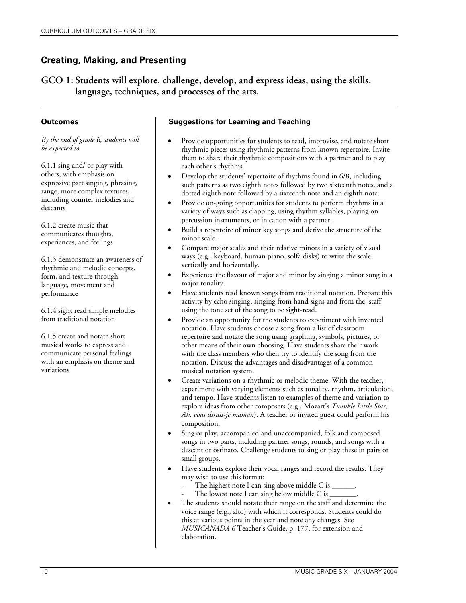**GCO 1: Students will explore, challenge, develop, and express ideas, using the skills, language, techniques, and processes of the arts.** 

#### **Outcomes**

*By the end of grade 6, students will be expected to* 

6.1.1 sing and/ or play with others, with emphasis on expressive part singing, phrasing, range, more complex textures, including counter melodies and descants

6.1.2 create music that communicates thoughts, experiences, and feelings

6.1.3 demonstrate an awareness of rhythmic and melodic concepts, form, and texture through language, movement and performance

6.1.4 sight read simple melodies from traditional notation

6.1.5 create and notate short musical works to express and communicate personal feelings with an emphasis on theme and variations

- Provide opportunities for students to read, improvise, and notate short rhythmic pieces using rhythmic patterns from known repertoire. Invite them to share their rhythmic compositions with a partner and to play each other's rhythms
- Develop the students' repertoire of rhythms found in 6/8, including such patterns as two eighth notes followed by two sixteenth notes, and a dotted eighth note followed by a sixteenth note and an eighth note.
- Provide on-going opportunities for students to perform rhythms in a variety of ways such as clapping, using rhythm syllables, playing on percussion instruments, or in canon with a partner.
- Build a repertoire of minor key songs and derive the structure of the minor scale.
- Compare major scales and their relative minors in a variety of visual ways (e.g., keyboard, human piano, solfa disks) to write the scale vertically and horizontally.
- Experience the flavour of major and minor by singing a minor song in a major tonality.
- Have students read known songs from traditional notation. Prepare this activity by echo singing, singing from hand signs and from the staff using the tone set of the song to be sight-read.
- Provide an opportunity for the students to experiment with invented notation. Have students choose a song from a list of classroom repertoire and notate the song using graphing, symbols, pictures, or other means of their own choosing. Have students share their work with the class members who then try to identify the song from the notation. Discuss the advantages and disadvantages of a common musical notation system.
- Create variations on a rhythmic or melodic theme. With the teacher, experiment with varying elements such as tonality, rhythm, articulation, and tempo. Have students listen to examples of theme and variation to explore ideas from other composers (e.g., Mozart's *Twinkle Little Star, Ah, vous dirais-je maman*). A teacher or invited guest could perform his composition.
- Sing or play, accompanied and unaccompanied, folk and composed songs in two parts, including partner songs, rounds, and songs with a descant or ostinato. Challenge students to sing or play these in pairs or small groups.
- Have students explore their vocal ranges and record the results. They may wish to use this format:
	- The highest note I can sing above middle C is  $\_$
	- The lowest note I can sing below middle C is  $\_$
- The students should notate their range on the staff and determine the voice range (e.g., alto) with which it corresponds. Students could do this at various points in the year and note any changes. See *MUSICANADA 6* Teacher's Guide, p. 177, for extension and elaboration.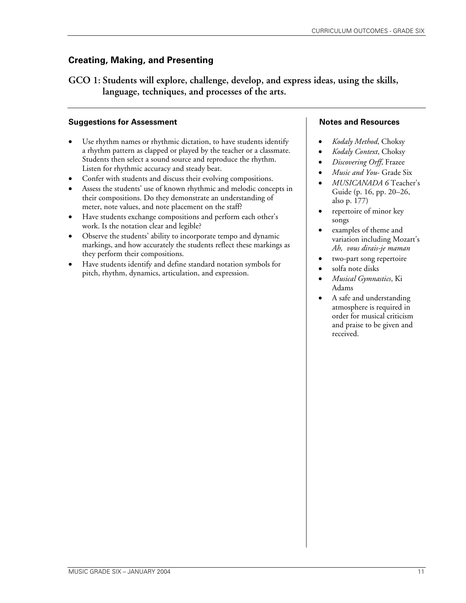**GCO 1: Students will explore, challenge, develop, and express ideas, using the skills, language, techniques, and processes of the arts.** 

#### **Suggestions for Assessment**

- Use rhythm names or rhythmic dictation, to have students identify a rhythm pattern as clapped or played by the teacher or a classmate. Students then select a sound source and reproduce the rhythm. Listen for rhythmic accuracy and steady beat.
- Confer with students and discuss their evolving compositions.
- Assess the students' use of known rhythmic and melodic concepts in their compositions. Do they demonstrate an understanding of meter, note values, and note placement on the staff?
- Have students exchange compositions and perform each other's work. Is the notation clear and legible?
- Observe the students' ability to incorporate tempo and dynamic markings, and how accurately the students reflect these markings as they perform their compositions.
- Have students identify and define standard notation symbols for pitch, rhythm, dynamics, articulation, and expression.

- *Kodaly Method*, Choksy
- *Kodaly Context*, Choksy
- *Discovering Orff*, Frazee
- *Music and You* Grade Six
- *MUSICANADA 6* Teacher's Guide (p. 16, pp. 20–26, also p. 177)
- repertoire of minor key songs
- examples of theme and variation including Mozart's *Ah, vous dirais-je maman*
- two-part song repertoire
- solfa note disks
- *Musical Gymnastics*, Ki Adams
- A safe and understanding atmosphere is required in order for musical criticism and praise to be given and received.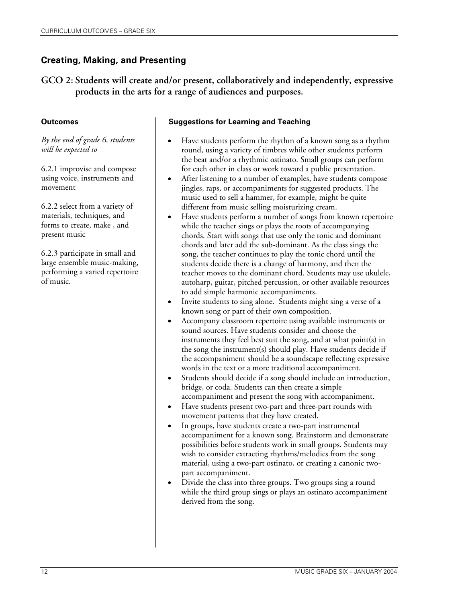**GCO 2: Students will create and/or present, collaboratively and independently, expressive products in the arts for a range of audiences and purposes.** 

#### **Outcomes**

*By the end of grade 6, students will be expected to* 

6.2.1 improvise and compose using voice, instruments and movement

6.2.2 select from a variety of materials, techniques, and forms to create, make , and present music

6.2.3 participate in small and large ensemble music-making, performing a varied repertoire of music.

- Have students perform the rhythm of a known song as a rhythm round, using a variety of timbres while other students perform the beat and/or a rhythmic ostinato. Small groups can perform for each other in class or work toward a public presentation.
- After listening to a number of examples, have students compose jingles, raps, or accompaniments for suggested products. The music used to sell a hammer, for example, might be quite different from music selling moisturizing cream.
- Have students perform a number of songs from known repertoire while the teacher sings or plays the roots of accompanying chords. Start with songs that use only the tonic and dominant chords and later add the sub-dominant. As the class sings the song, the teacher continues to play the tonic chord until the students decide there is a change of harmony, and then the teacher moves to the dominant chord. Students may use ukulele, autoharp, guitar, pitched percussion, or other available resources to add simple harmonic accompaniments.
- Invite students to sing alone. Students might sing a verse of a known song or part of their own composition.
- Accompany classroom repertoire using available instruments or sound sources. Have students consider and choose the instruments they feel best suit the song, and at what point(s) in the song the instrument(s) should play. Have students decide if the accompaniment should be a soundscape reflecting expressive words in the text or a more traditional accompaniment.
- Students should decide if a song should include an introduction, bridge, or coda. Students can then create a simple accompaniment and present the song with accompaniment.
- Have students present two-part and three-part rounds with movement patterns that they have created.
- In groups, have students create a two-part instrumental accompaniment for a known song. Brainstorm and demonstrate possibilities before students work in small groups. Students may wish to consider extracting rhythms/melodies from the song material, using a two-part ostinato, or creating a canonic twopart accompaniment.
- Divide the class into three groups. Two groups sing a round while the third group sings or plays an ostinato accompaniment derived from the song.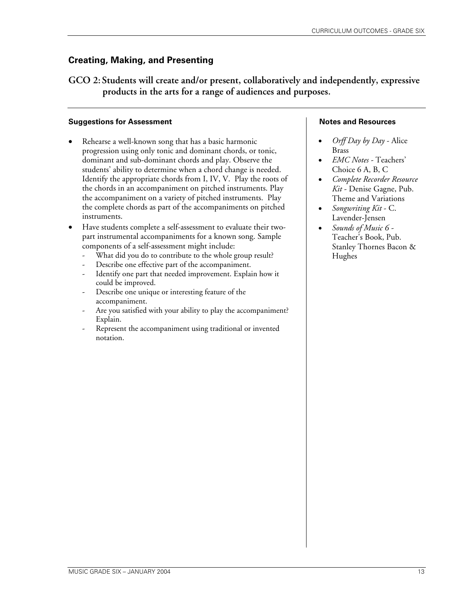**GCO 2: Students will create and/or present, collaboratively and independently, expressive products in the arts for a range of audiences and purposes.** 

#### **Suggestions for Assessment**

Rehearse a well-known song that has a basic harmonic progression using only tonic and dominant chords, or tonic, dominant and sub-dominant chords and play. Observe the students' ability to determine when a chord change is needed. Identify the appropriate chords from I, IV, V. Play the roots of the chords in an accompaniment on pitched instruments. Play the accompaniment on a variety of pitched instruments. Play the complete chords as part of the accompaniments on pitched instruments.

• Have students complete a self-assessment to evaluate their twopart instrumental accompaniments for a known song. Sample components of a self-assessment might include:

- What did you do to contribute to the whole group result?
- Describe one effective part of the accompaniment.
- Identify one part that needed improvement. Explain how it could be improved.
- Describe one unique or interesting feature of the accompaniment.
- Are you satisfied with your ability to play the accompaniment? Explain.
- Represent the accompaniment using traditional or invented notation.

- *Orff Day by Day* Alice Brass
- *EMC Notes -* Teachers' Choice 6 A, B, C
- *Complete Recorder Resource Kit* - Denise Gagne, Pub. Theme and Variations
- *Songwriting Kit*  C. Lavender-Jensen
- *Sounds of Music 6*  Teacher's Book, Pub. Stanley Thornes Bacon & Hughes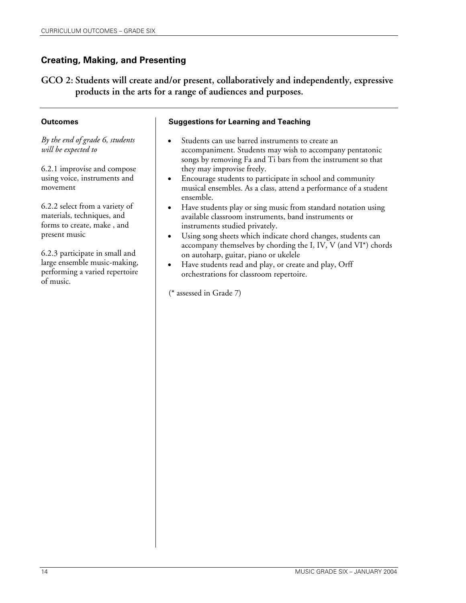**GCO 2: Students will create and/or present, collaboratively and independently, expressive products in the arts for a range of audiences and purposes.**

#### **Outcomes**

*By the end of grade 6, students will be expected to* 

6.2.1 improvise and compose using voice, instruments and movement

6.2.2 select from a variety of materials, techniques, and forms to create, make , and present music

6.2.3 participate in small and large ensemble music-making, performing a varied repertoire of music.

#### **Suggestions for Learning and Teaching**

- Students can use barred instruments to create an accompaniment. Students may wish to accompany pentatonic songs by removing Fa and Ti bars from the instrument so that they may improvise freely.
- Encourage students to participate in school and community musical ensembles. As a class, attend a performance of a student ensemble.
- Have students play or sing music from standard notation using available classroom instruments, band instruments or instruments studied privately.
- Using song sheets which indicate chord changes, students can accompany themselves by chording the I, IV, V (and VI\*) chords on autoharp, guitar, piano or ukelele
- Have students read and play, or create and play, Orff orchestrations for classroom repertoire.

(\* assessed in Grade 7)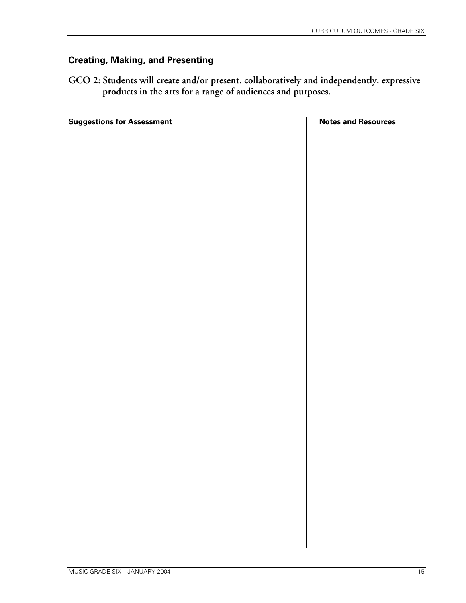**GCO 2: Students will create and/or present, collaboratively and independently, expressive products in the arts for a range of audiences and purposes.**

**Suggestions for Assessment Notes and Resources**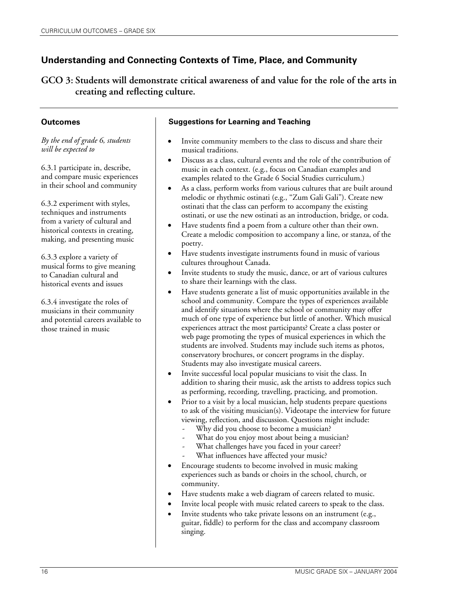**GCO 3: Students will demonstrate critical awareness of and value for the role of the arts in creating and reflecting culture.**

#### **Outcomes**

*By the end of grade 6, students will be expected to* 

6.3.1 participate in, describe, and compare music experiences in their school and community

6.3.2 experiment with styles, techniques and instruments from a variety of cultural and historical contexts in creating, making, and presenting music

6.3.3 explore a variety of musical forms to give meaning to Canadian cultural and historical events and issues

6.3.4 investigate the roles of musicians in their community and potential careers available to those trained in music

- Invite community members to the class to discuss and share their musical traditions.
- Discuss as a class, cultural events and the role of the contribution of music in each context. (e.g., focus on Canadian examples and examples related to the Grade 6 Social Studies curriculum.)
- As a class, perform works from various cultures that are built around melodic or rhythmic ostinati (e.g., "Zum Gali Gali"). Create new ostinati that the class can perform to accompany the existing ostinati, or use the new ostinati as an introduction, bridge, or coda.
- Have students find a poem from a culture other than their own. Create a melodic composition to accompany a line, or stanza, of the poetry.
- Have students investigate instruments found in music of various cultures throughout Canada.
- Invite students to study the music, dance, or art of various cultures to share their learnings with the class.
- Have students generate a list of music opportunities available in the school and community. Compare the types of experiences available and identify situations where the school or community may offer much of one type of experience but little of another. Which musical experiences attract the most participants? Create a class poster or web page promoting the types of musical experiences in which the students are involved. Students may include such items as photos, conservatory brochures, or concert programs in the display. Students may also investigate musical careers.
- Invite successful local popular musicians to visit the class. In addition to sharing their music, ask the artists to address topics such as performing, recording, travelling, practicing, and promotion.
- Prior to a visit by a local musician, help students prepare questions to ask of the visiting musician(s). Videotape the interview for future viewing, reflection, and discussion. Questions might include:
	- Why did you choose to become a musician?
	- What do you enjoy most about being a musician?
	- What challenges have you faced in your career?
	- What influences have affected your music?
- Encourage students to become involved in music making experiences such as bands or choirs in the school, church, or community.
- Have students make a web diagram of careers related to music.
- Invite local people with music related careers to speak to the class.
- Invite students who take private lessons on an instrument (e.g., guitar, fiddle) to perform for the class and accompany classroom singing.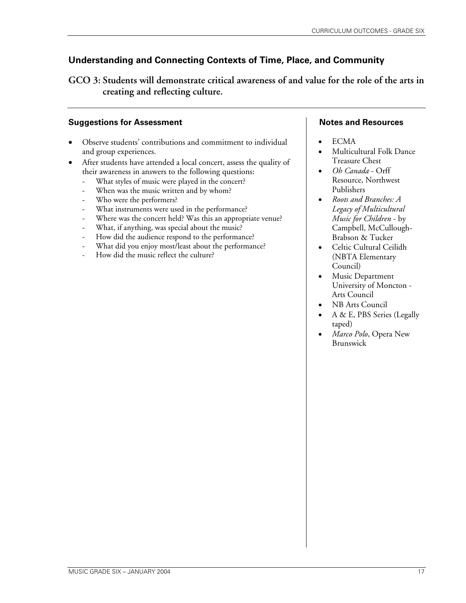**GCO 3: Students will demonstrate critical awareness of and value for the role of the arts in creating and reflecting culture.**

## **Suggestions for Assessment**

- Observe students' contributions and commitment to individual and group experiences.
- After students have attended a local concert, assess the quality of their awareness in answers to the following questions:
	- What styles of music were played in the concert?
	- When was the music written and by whom?
	- Who were the performers?
	- What instruments were used in the performance?
	- Where was the concert held? Was this an appropriate venue?
	- What, if anything, was special about the music?
	- How did the audience respond to the performance?
	- What did you enjoy most/least about the performance?
	- How did the music reflect the culture?

- ECMA
- Multicultural Folk Dance Treasure Chest
- *Oh Canada* Orff Resource, Northwest Publishers
- *Roots and Branches: A Legacy of Multicultural Music for Children* - by Campbell, McCullough-Brabson & Tucker
- Celtic Cultural Ceilidh (NBTA Elementary Council)
- Music Department University of Moncton - Arts Council
- NB Arts Council
- A & E, PBS Series (Legally taped)
- *Marco Polo*, Opera New Brunswick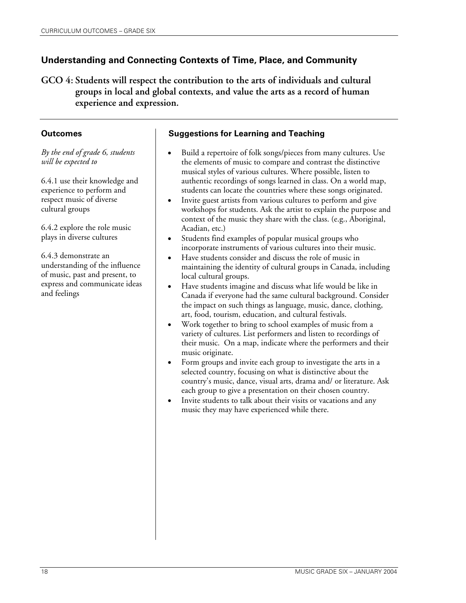**GCO 4: Students will respect the contribution to the arts of individuals and cultural groups in local and global contexts, and value the arts as a record of human experience and expression.** 

## **Outcomes**

*By the end of grade 6, students will be expected to* 

6.4.1 use their knowledge and experience to perform and respect music of diverse cultural groups

6.4.2 explore the role music plays in diverse cultures

6.4.3 demonstrate an understanding of the influence of music, past and present, to express and communicate ideas and feelings

- Build a repertoire of folk songs/pieces from many cultures. Use the elements of music to compare and contrast the distinctive musical styles of various cultures. Where possible, listen to authentic recordings of songs learned in class. On a world map, students can locate the countries where these songs originated.
- Invite guest artists from various cultures to perform and give workshops for students. Ask the artist to explain the purpose and context of the music they share with the class. (e.g., Aboriginal, Acadian, etc.)
- Students find examples of popular musical groups who incorporate instruments of various cultures into their music.
- Have students consider and discuss the role of music in maintaining the identity of cultural groups in Canada, including local cultural groups.
- Have students imagine and discuss what life would be like in Canada if everyone had the same cultural background. Consider the impact on such things as language, music, dance, clothing, art, food, tourism, education, and cultural festivals.
- Work together to bring to school examples of music from a variety of cultures. List performers and listen to recordings of their music. On a map, indicate where the performers and their music originate.
- Form groups and invite each group to investigate the arts in a selected country, focusing on what is distinctive about the country's music, dance, visual arts, drama and/ or literature. Ask each group to give a presentation on their chosen country.
- Invite students to talk about their visits or vacations and any music they may have experienced while there.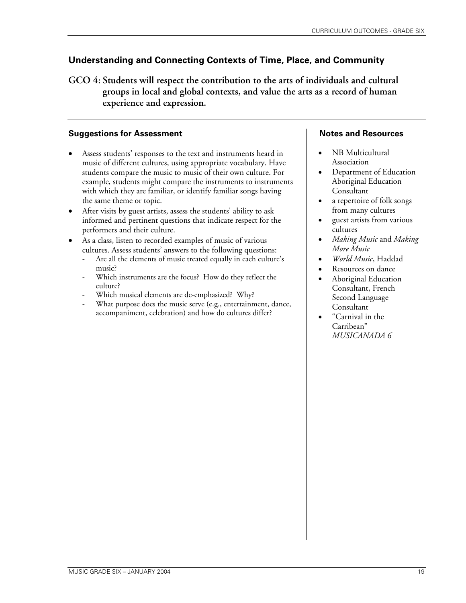**GCO 4: Students will respect the contribution to the arts of individuals and cultural groups in local and global contexts, and value the arts as a record of human experience and expression.** 

## **Suggestions for Assessment**

- Assess students' responses to the text and instruments heard in music of different cultures, using appropriate vocabulary. Have students compare the music to music of their own culture. For example, students might compare the instruments to instruments with which they are familiar, or identify familiar songs having the same theme or topic.
- After visits by guest artists, assess the students' ability to ask informed and pertinent questions that indicate respect for the performers and their culture.
- As a class, listen to recorded examples of music of various cultures. Assess students' answers to the following questions:
	- Are all the elements of music treated equally in each culture's music?
	- Which instruments are the focus? How do they reflect the culture?
	- Which musical elements are de-emphasized? Why?
	- What purpose does the music serve (e.g., entertainment, dance, accompaniment, celebration) and how do cultures differ?

- NB Multicultural Association
- Department of Education Aboriginal Education Consultant
- a repertoire of folk songs from many cultures
- guest artists from various cultures
- *Making Music* and *Making More Music*
- *World Music*, Haddad
- Resources on dance
- Aboriginal Education Consultant, French Second Language Consultant
- "Carnival in the Carribean" *MUSICANADA 6*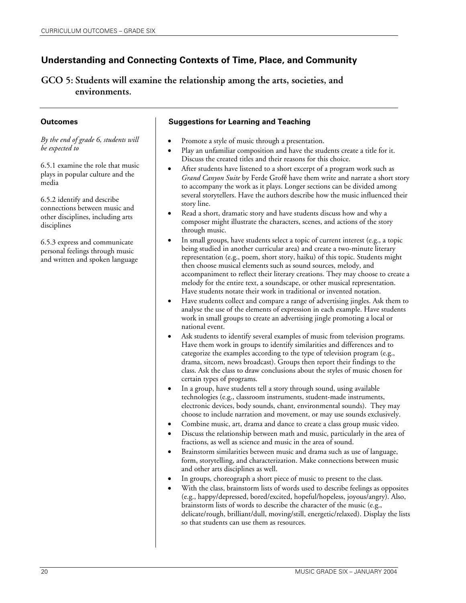**GCO 5: Students will examine the relationship among the arts, societies, and environments.** 

#### **Outcomes**

*By the end of grade 6, students will be expected to* 

6.5.1 examine the role that music plays in popular culture and the media

6.5.2 identify and describe connections between music and other disciplines, including arts disciplines

6.5.3 express and communicate personal feelings through music and written and spoken language

- Promote a style of music through a presentation.
- Play an unfamiliar composition and have the students create a title for it. Discuss the created titles and their reasons for this choice.
- After students have listened to a short excerpt of a program work such as *Grand Canyon Suite* by Ferde Grofé have them write and narrate a short story to accompany the work as it plays. Longer sections can be divided among several storytellers. Have the authors describe how the music influenced their story line.
- Read a short, dramatic story and have students discuss how and why a composer might illustrate the characters, scenes, and actions of the story through music.
- In small groups, have students select a topic of current interest (e.g., a topic being studied in another curricular area) and create a two-minute literary representation (e.g., poem, short story, haiku) of this topic. Students might then choose musical elements such as sound sources, melody, and accompaniment to reflect their literary creations. They may choose to create a melody for the entire text, a soundscape, or other musical representation. Have students notate their work in traditional or invented notation.
- Have students collect and compare a range of advertising jingles. Ask them to analyse the use of the elements of expression in each example. Have students work in small groups to create an advertising jingle promoting a local or national event.
- Ask students to identify several examples of music from television programs. Have them work in groups to identify similarities and differences and to categorize the examples according to the type of television program (e.g., drama, sitcom, news broadcast). Groups then report their findings to the class. Ask the class to draw conclusions about the styles of music chosen for certain types of programs.
- In a group, have students tell a story through sound, using available technologies (e.g., classroom instruments, student-made instruments, electronic devices, body sounds, chant, environmental sounds). They may choose to include narration and movement, or may use sounds exclusively.
- Combine music, art, drama and dance to create a class group music video.
- Discuss the relationship between math and music, particularly in the area of fractions, as well as science and music in the area of sound.
- Brainstorm similarities between music and drama such as use of language, form, storytelling, and characterization. Make connections between music and other arts disciplines as well.
- In groups, choreograph a short piece of music to present to the class.
- With the class, brainstorm lists of words used to describe feelings as opposites (e.g., happy/depressed, bored/excited, hopeful/hopeless, joyous/angry). Also, brainstorm lists of words to describe the character of the music (e.g., delicate/rough, brilliant/dull, moving/still, energetic/relaxed). Display the lists so that students can use them as resources.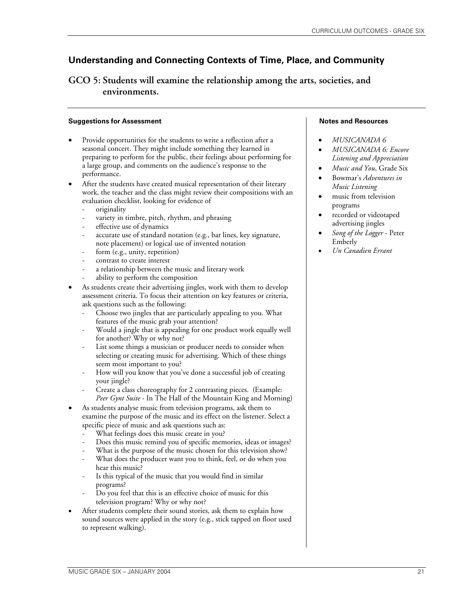**GCO 5: Students will examine the relationship among the arts, societies, and environments.** 

#### **Suggestions for Assessment**

- Provide opportunities for the students to write a reflection after a seasonal concert. They might include something they learned in preparing to perform for the public, their feelings about performing for a large group, and comments on the audience's response to the performance.
- After the students have created musical representation of their literary work, the teacher and the class might review their compositions with an evaluation checklist, looking for evidence of
	- originality
	- variety in timbre, pitch, rhythm, and phrasing
	- effective use of dynamics
	- accurate use of standard notation (e.g., bar lines, key signature, note placement) or logical use of invented notation
	- form (e.g., unity, repetition)
	- contrast to create interest
	- a relationship between the music and literary work
	- ability to perform the composition
- As students create their advertising jingles, work with them to develop assessment criteria. To focus their attention on key features or criteria, ask questions such as the following:
	- Choose two jingles that are particularly appealing to you. What features of the music grab your attention?
	- Would a jingle that is appealing for one product work equally well for another? Why or why not?
	- List some things a musician or producer needs to consider when selecting or creating music for advertising. Which of these things seem most important to you?
	- How will you know that you've done a successful job of creating your jingle?
	- Create a class choreography for 2 contrasting pieces. (Example: *Peer Gynt Suite* - In The Hall of the Mountain King and Morning)
- As students analyse music from television programs, ask them to examine the purpose of the music and its effect on the listener. Select a specific piece of music and ask questions such as:
	- What feelings does this music create in you?
	- Does this music remind you of specific memories, ideas or images?
	- What is the purpose of the music chosen for this television show?
	- What does the producer want you to think, feel, or do when you hear this music?
	- Is this typical of the music that you would find in similar programs?
	- Do you feel that this is an effective choice of music for this television program? Why or why not?
- After students complete their sound stories, ask them to explain how sound sources were applied in the story (e.g., stick tapped on floor used to represent walking).

- *MUSICANADA 6*
- *MUSICANADA 6: Encore Listening and Appreciation*
- *Music and You*, Grade Six
- Bowmar's *Adventures in Music Listening*
- music from television programs
- recorded or videotaped advertising jingles
- *Song of the Logger* Peter Emberly
- *Un Canadien Errant*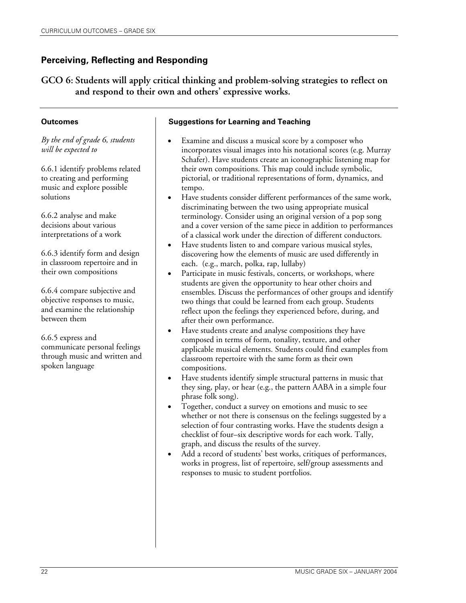**GCO 6: Students will apply critical thinking and problem-solving strategies to reflect on and respond to their own and others' expressive works.**

#### **Outcomes**

*By the end of grade 6, students will be expected to* 

6.6.1 identify problems related to creating and performing music and explore possible solutions

6.6.2 analyse and make decisions about various interpretations of a work

6.6.3 identify form and design in classroom repertoire and in their own compositions

6.6.4 compare subjective and objective responses to music, and examine the relationship between them

6.6.5 express and communicate personal feelings through music and written and spoken language

- Examine and discuss a musical score by a composer who incorporates visual images into his notational scores (e.g. Murray Schafer). Have students create an iconographic listening map for their own compositions. This map could include symbolic, pictorial, or traditional representations of form, dynamics, and tempo.
- Have students consider different performances of the same work, discriminating between the two using appropriate musical terminology. Consider using an original version of a pop song and a cover version of the same piece in addition to performances of a classical work under the direction of different conductors.
- Have students listen to and compare various musical styles, discovering how the elements of music are used differently in each. (e.g., march, polka, rap, lullaby)
- Participate in music festivals, concerts, or workshops, where students are given the opportunity to hear other choirs and ensembles. Discuss the performances of other groups and identify two things that could be learned from each group. Students reflect upon the feelings they experienced before, during, and after their own performance.
- Have students create and analyse compositions they have composed in terms of form, tonality, texture, and other applicable musical elements. Students could find examples from classroom repertoire with the same form as their own compositions.
- Have students identify simple structural patterns in music that they sing, play, or hear (e.g., the pattern AABA in a simple four phrase folk song).
- Together, conduct a survey on emotions and music to see whether or not there is consensus on the feelings suggested by a selection of four contrasting works. Have the students design a checklist of four–six descriptive words for each work. Tally, graph, and discuss the results of the survey.
- Add a record of students' best works, critiques of performances, works in progress, list of repertoire, self/group assessments and responses to music to student portfolios.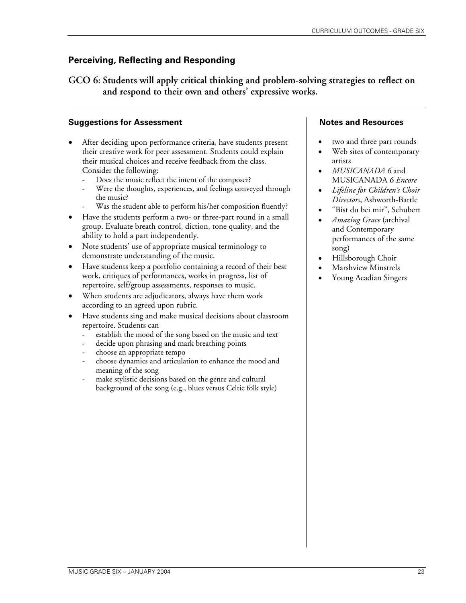**GCO 6: Students will apply critical thinking and problem-solving strategies to reflect on and respond to their own and others' expressive works.**

## **Suggestions for Assessment**

- After deciding upon performance criteria, have students present their creative work for peer assessment. Students could explain their musical choices and receive feedback from the class. Consider the following:
	- Does the music reflect the intent of the composer?
	- Were the thoughts, experiences, and feelings conveyed through the music?
	- Was the student able to perform his/her composition fluently?
- Have the students perform a two- or three-part round in a small group. Evaluate breath control, diction, tone quality, and the ability to hold a part independently.
- Note students' use of appropriate musical terminology to demonstrate understanding of the music.
- Have students keep a portfolio containing a record of their best work, critiques of performances, works in progress, list of repertoire, self/group assessments, responses to music.
- When students are adjudicators, always have them work according to an agreed upon rubric.
- Have students sing and make musical decisions about classroom repertoire. Students can
	- establish the mood of the song based on the music and text
	- decide upon phrasing and mark breathing points
	- choose an appropriate tempo
	- choose dynamics and articulation to enhance the mood and meaning of the song
	- make stylistic decisions based on the genre and cultural background of the song (e.g., blues versus Celtic folk style)

- two and three part rounds
- Web sites of contemporary artists
- *MUSICANADA 6* and MUSICANADA *6 Encore*
- *Lifeline for Children's Choir Directors*, Ashworth-Bartle
- "Bist du bei mir", Schubert
- *Amazing Grace* (archival and Contemporary performances of the same song)
- Hillsborough Choir
- Marshview Minstrels
- Young Acadian Singers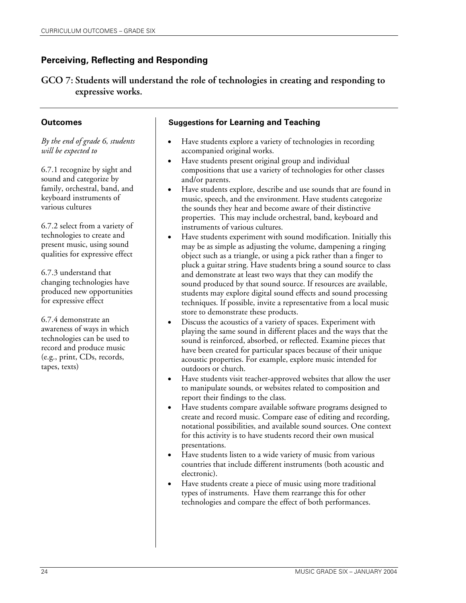**GCO 7: Students will understand the role of technologies in creating and responding to expressive works.** 

## **Outcomes**

*By the end of grade 6, students will be expected to* 

6.7.1 recognize by sight and sound and categorize by family, orchestral, band, and keyboard instruments of various cultures

6.7.2 select from a variety of technologies to create and present music, using sound qualities for expressive effect

6.7.3 understand that changing technologies have produced new opportunities for expressive effect

6.7.4 demonstrate an awareness of ways in which technologies can be used to record and produce music (e.g., print, CDs, records, tapes, texts)

- Have students explore a variety of technologies in recording accompanied original works.
- Have students present original group and individual compositions that use a variety of technologies for other classes and/or parents.
- Have students explore, describe and use sounds that are found in music, speech, and the environment. Have students categorize the sounds they hear and become aware of their distinctive properties. This may include orchestral, band, keyboard and instruments of various cultures.
- Have students experiment with sound modification. Initially this may be as simple as adjusting the volume, dampening a ringing object such as a triangle, or using a pick rather than a finger to pluck a guitar string. Have students bring a sound source to class and demonstrate at least two ways that they can modify the sound produced by that sound source. If resources are available, students may explore digital sound effects and sound processing techniques. If possible, invite a representative from a local music store to demonstrate these products.
- Discuss the acoustics of a variety of spaces. Experiment with playing the same sound in different places and the ways that the sound is reinforced, absorbed, or reflected. Examine pieces that have been created for particular spaces because of their unique acoustic properties. For example, explore music intended for outdoors or church.
- Have students visit teacher-approved websites that allow the user to manipulate sounds, or websites related to composition and report their findings to the class.
- Have students compare available software programs designed to create and record music. Compare ease of editing and recording, notational possibilities, and available sound sources. One context for this activity is to have students record their own musical presentations.
- Have students listen to a wide variety of music from various countries that include different instruments (both acoustic and electronic).
- Have students create a piece of music using more traditional types of instruments. Have them rearrange this for other technologies and compare the effect of both performances.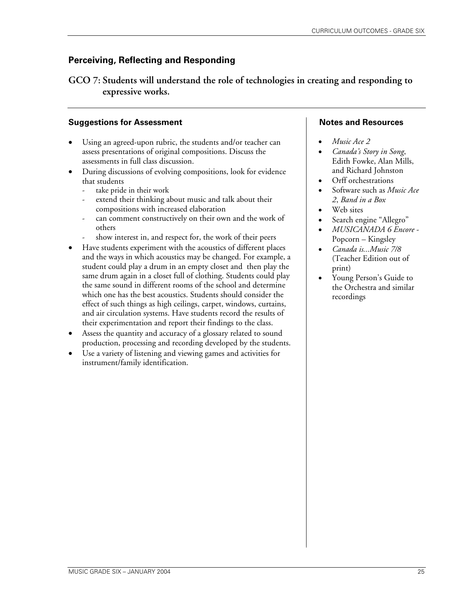**GCO 7: Students will understand the role of technologies in creating and responding to expressive works.** 

## **Suggestions for Assessment**

- Using an agreed-upon rubric, the students and/or teacher can assess presentations of original compositions. Discuss the assessments in full class discussion.
- During discussions of evolving compositions, look for evidence that students
	- take pride in their work
	- extend their thinking about music and talk about their compositions with increased elaboration
	- can comment constructively on their own and the work of others
	- show interest in, and respect for, the work of their peers
- Have students experiment with the acoustics of different places and the ways in which acoustics may be changed. For example, a student could play a drum in an empty closet and then play the same drum again in a closet full of clothing. Students could play the same sound in different rooms of the school and determine which one has the best acoustics. Students should consider the effect of such things as high ceilings, carpet, windows, curtains, and air circulation systems. Have students record the results of their experimentation and report their findings to the class.
- Assess the quantity and accuracy of a glossary related to sound production, processing and recording developed by the students.
- Use a variety of listening and viewing games and activities for instrument/family identification.

- *Music Ace 2*
- *Canada's Story in Song*, Edith Fowke, Alan Mills, and Richard Johnston
- Orff orchestrations
- Software such as *Music Ace 2*, *Band in a Box*
- Web sites
- Search engine "Allegro"
- *MUSICANADA 6 Encore* Popcorn – Kingsley
- *Canada is...Music 7/8* (Teacher Edition out of print)
- Young Person's Guide to the Orchestra and similar recordings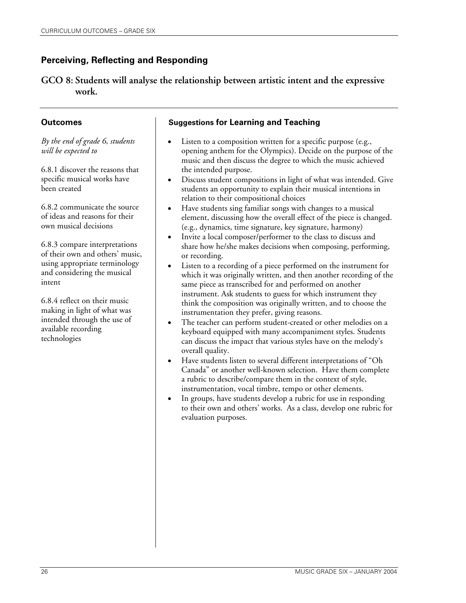**GCO 8: Students will analyse the relationship between artistic intent and the expressive work.** 

## **Outcomes**

*By the end of grade 6, students will be expected to* 

6.8.1 discover the reasons that specific musical works have been created

6.8.2 communicate the source of ideas and reasons for their own musical decisions

6.8.3 compare interpretations of their own and others' music, using appropriate terminology and considering the musical intent

6.8.4 reflect on their music making in light of what was intended through the use of available recording technologies

- Listen to a composition written for a specific purpose (e.g., opening anthem for the Olympics). Decide on the purpose of the music and then discuss the degree to which the music achieved the intended purpose.
- Discuss student compositions in light of what was intended. Give students an opportunity to explain their musical intentions in relation to their compositional choices
- Have students sing familiar songs with changes to a musical element, discussing how the overall effect of the piece is changed. (e.g., dynamics, time signature, key signature, harmony)
- Invite a local composer/performer to the class to discuss and share how he/she makes decisions when composing, performing, or recording.
- Listen to a recording of a piece performed on the instrument for which it was originally written, and then another recording of the same piece as transcribed for and performed on another instrument. Ask students to guess for which instrument they think the composition was originally written, and to choose the instrumentation they prefer, giving reasons.
- The teacher can perform student-created or other melodies on a keyboard equipped with many accompaniment styles. Students can discuss the impact that various styles have on the melody's overall quality.
- Have students listen to several different interpretations of "Oh Canada" or another well-known selection. Have them complete a rubric to describe/compare them in the context of style, instrumentation, vocal timbre, tempo or other elements.
- In groups, have students develop a rubric for use in responding to their own and others' works. As a class, develop one rubric for evaluation purposes.